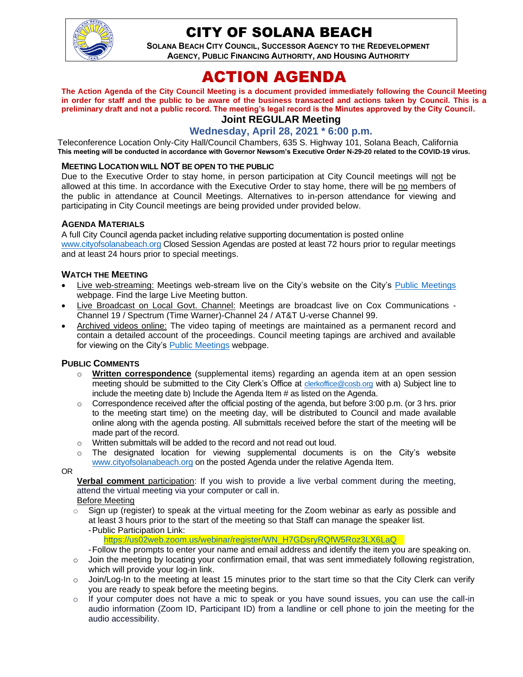

# CITY OF SOLANA BEACH

**SOLANA BEACH CITY COUNCIL, SUCCESSOR AGENCY TO THE REDEVELOPMENT AGENCY, PUBLIC FINANCING AUTHORITY, AND HOUSING AUTHORITY** 

# ACTION AGENDA

**The Action Agenda of the City Council Meeting is a document provided immediately following the Council Meeting in order for staff and the public to be aware of the business transacted and actions taken by Council. This is a preliminary draft and not a public record. The meeting's legal record is the Minutes approved by the City Council.**

## **Joint REGULAR Meeting**

#### **Wednesday, April 28, 2021 \* 6:00 p.m.**

Teleconference Location Only-City Hall/Council Chambers, 635 S. Highway 101, Solana Beach, California **This meeting will be conducted in accordance with Governor Newsom's Executive Order N-29-20 related to the COVID-19 virus.**

#### **MEETING LOCATION WILL NOT BE OPEN TO THE PUBLIC**

Due to the Executive Order to stay home, in person participation at City Council meetings will not be allowed at this time. In accordance with the Executive Order to stay home, there will be no members of the public in attendance at Council Meetings. Alternatives to in-person attendance for viewing and participating in City Council meetings are being provided under provided below.

#### **AGENDA MATERIALS**

A full City Council agenda packet including relative supporting documentation is posted online [www.cityofsolanabeach.org](http://www.cityofsolanabeach.org/) Closed Session Agendas are posted at least 72 hours prior to regular meetings and at least 24 hours prior to special meetings.

#### **WATCH THE MEETING**

- Live web-streaming: Meetings web-stream live on the City's website on the City's [Public Meetings](https://urldefense.proofpoint.com/v2/url?u=https-3A__www.ci.solana-2Dbeach.ca.us_index.asp-3FSEC-3DF0F1200D-2D21C6-2D4A88-2D8AE1-2D0BC07C1A81A7-26Type-3DB-5FBASIC&d=DwMFAg&c=euGZstcaTDllvimEN8b7jXrwqOf-v5A_CdpgnVfiiMM&r=1XAsCUuqwK_tji2t0s1uIQ&m=wny2RVfZJ2tN24LkqZmkUWNpwL_peNtTZUBlTBZiMM4&s=WwpcEQpHHkFen6nS6q2waMuQ_VMZ-i1YZ60lD-dYRRE&e=) webpage. Find the large Live Meeting button.
- Live Broadcast on Local Govt. Channel: Meetings are broadcast live on Cox Communications Channel 19 / Spectrum (Time Warner)-Channel 24 / AT&T U-verse Channel 99.
- Archived videos online: The video taping of meetings are maintained as a permanent record and contain a detailed account of the proceedings. Council meeting tapings are archived and available for viewing on the City's [Public Meetings](https://urldefense.proofpoint.com/v2/url?u=https-3A__www.ci.solana-2Dbeach.ca.us_index.asp-3FSEC-3DF0F1200D-2D21C6-2D4A88-2D8AE1-2D0BC07C1A81A7-26Type-3DB-5FBASIC&d=DwMFAg&c=euGZstcaTDllvimEN8b7jXrwqOf-v5A_CdpgnVfiiMM&r=1XAsCUuqwK_tji2t0s1uIQ&m=wny2RVfZJ2tN24LkqZmkUWNpwL_peNtTZUBlTBZiMM4&s=WwpcEQpHHkFen6nS6q2waMuQ_VMZ-i1YZ60lD-dYRRE&e=) webpage.

#### **PUBLIC COMMENTS**

- o **Written correspondence** (supplemental items) regarding an agenda item at an open session meeting should be submitted to the City Clerk's Office at [clerkoffice@cosb.org](mailto:clerkoffice@cosb.org) with a) Subject line to include the meeting date b) Include the Agenda Item # as listed on the Agenda.
- $\circ$  Correspondence received after the official posting of the agenda, but before 3:00 p.m. (or 3 hrs. prior to the meeting start time) on the meeting day, will be distributed to Council and made available online along with the agenda posting. All submittals received before the start of the meeting will be made part of the record.
- o Written submittals will be added to the record and not read out loud.
- $\circ$  The designated location for viewing supplemental documents is on the City's website [www.cityofsolanabeach.org](http://www.cityofsolanabeach.org/) on the posted Agenda under the relative Agenda Item.

OR

**Verbal comment** participation: If you wish to provide a live verbal comment during the meeting, attend the virtual meeting via your computer or call in.

Before Meeting

 $\circ$  Sign up (register) to speak at the virtual meeting for the Zoom webinar as early as possible and at least 3 hours prior to the start of the meeting so that Staff can manage the speaker list. -Public Participation Link:

[https://us02web.zoom.us/webinar/register/WN\\_H7GDsryRQfW5Roz3LX6LaQ](https://us02web.zoom.us/webinar/register/WN_H7GDsryRQfW5Roz3LX6LaQ) 

-Follow the prompts to enter your name and email address and identify the item you are speaking on.

- $\circ$  Join the meeting by locating your confirmation email, that was sent immediately following registration, which will provide your log-in link.
- $\circ$  Join/Log-In to the meeting at least 15 minutes prior to the start time so that the City Clerk can verify you are ready to speak before the meeting begins.
- $\circ$  If your computer does not have a mic to speak or you have sound issues, you can use the call-in audio information (Zoom ID, Participant ID) from a landline or cell phone to join the meeting for the audio accessibility.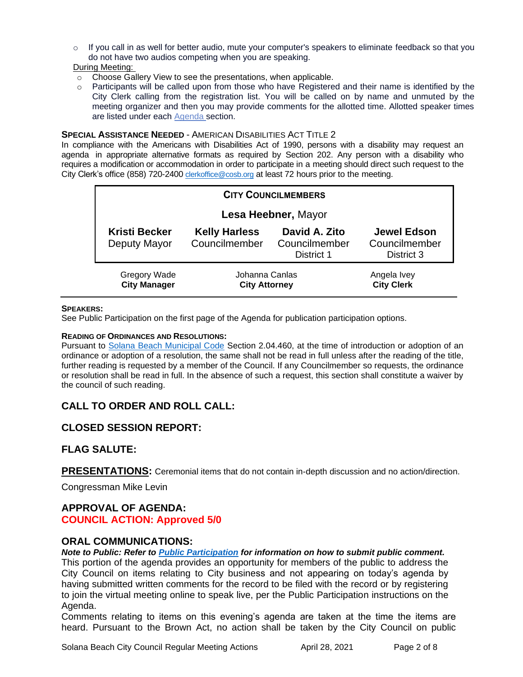$\circ$  If you call in as well for better audio, mute your computer's speakers to eliminate feedback so that you do not have two audios competing when you are speaking.

During Meeting:

- o Choose Gallery View to see the presentations, when applicable.
- $\circ$  Participants will be called upon from those who have Registered and their name is identified by the City Clerk calling from the registration list. You will be called on by name and unmuted by the meeting organizer and then you may provide comments for the allotted time. Allotted speaker times are listed under each [Agenda s](https://urldefense.proofpoint.com/v2/url?u=https-3A__www.ci.solana-2Dbeach.ca.us_index.asp-3FSEC-3DF0F1200D-2D21C6-2D4A88-2D8AE1-2D0BC07C1A81A7-26Type-3DB-5FBASIC&d=DwMFaQ&c=euGZstcaTDllvimEN8b7jXrwqOf-v5A_CdpgnVfiiMM&r=1XAsCUuqwK_tji2t0s1uIQ&m=C7WzXfOw2_nkEFMJClT55zZsF4tmIf_7KTn0o1WpYqI&s=3DcsWExM2_nx_xpvFtXslUjphiXd0MDCCF18y_Qy5yU&e=)ection.

#### **SPECIAL ASSISTANCE NEEDED** - AMERICAN DISABILITIES ACT TITLE 2

In compliance with the Americans with Disabilities Act of 1990, persons with a disability may request an agenda in appropriate alternative formats as required by Section 202. Any person with a disability who requires a modification or accommodation in order to participate in a meeting should direct such request to the City Clerk's office (858) 720-2400 [clerkoffice@cosb.org](mailto:EMAILGRP-CityClerksOfc@cosb.org) at least 72 hours prior to the meeting.

| <b>CITY COUNCILMEMBERS</b>                 |                                        |                                              |                                                   |
|--------------------------------------------|----------------------------------------|----------------------------------------------|---------------------------------------------------|
| Lesa Heebner, Mayor                        |                                        |                                              |                                                   |
| <b>Kristi Becker</b><br>Deputy Mayor       | <b>Kelly Harless</b><br>Councilmember  | David A. Zito<br>Councilmember<br>District 1 | <b>Jewel Edson</b><br>Councilmember<br>District 3 |
| <b>Gregory Wade</b><br><b>City Manager</b> | Johanna Canlas<br><b>City Attorney</b> |                                              | Angela Ivey<br><b>City Clerk</b>                  |

#### **SPEAKERS:**

See Public Participation on the first page of the Agenda for publication participation options.

#### **READING OF ORDINANCES AND RESOLUTIONS:**

Pursuant to [Solana Beach Municipal Code](https://www.codepublishing.com/CA/SolanaBeach/) Section 2.04.460, at the time of introduction or adoption of an ordinance or adoption of a resolution, the same shall not be read in full unless after the reading of the title, further reading is requested by a member of the Council. If any Councilmember so requests, the ordinance or resolution shall be read in full. In the absence of such a request, this section shall constitute a waiver by the council of such reading.

## **CALL TO ORDER AND ROLL CALL:**

#### **CLOSED SESSION REPORT:**

#### **FLAG SALUTE:**

**PRESENTATIONS:** Ceremonial items that do not contain in-depth discussion and no action/direction.

Congressman Mike Levin

## **APPROVAL OF AGENDA: COUNCIL ACTION: Approved 5/0**

#### **ORAL COMMUNICATIONS:**

*Note to Public: Refer to Public Participation for information on how to submit public comment.*  This portion of the agenda provides an opportunity for members of the public to address the City Council on items relating to City business and not appearing on today's agenda by having submitted written comments for the record to be filed with the record or by registering to join the virtual meeting online to speak live, per the Public Participation instructions on the Agenda.

Comments relating to items on this evening's agenda are taken at the time the items are heard. Pursuant to the Brown Act, no action shall be taken by the City Council on public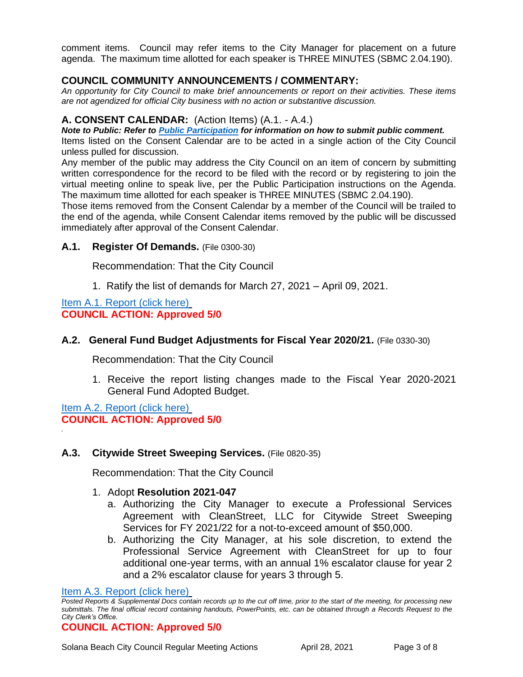comment items. Council may refer items to the City Manager for placement on a future agenda. The maximum time allotted for each speaker is THREE MINUTES (SBMC 2.04.190).

## **COUNCIL COMMUNITY ANNOUNCEMENTS / COMMENTARY:**

*An opportunity for City Council to make brief announcements or report on their activities. These items are not agendized for official City business with no action or substantive discussion.* 

## **A. CONSENT CALENDAR:** (Action Items) (A.1. - A.4.)

*Note to Public: Refer to Public Participation for information on how to submit public comment.* 

Items listed on the Consent Calendar are to be acted in a single action of the City Council unless pulled for discussion.

Any member of the public may address the City Council on an item of concern by submitting written correspondence for the record to be filed with the record or by registering to join the virtual meeting online to speak live, per the Public Participation instructions on the Agenda. The maximum time allotted for each speaker is THREE MINUTES (SBMC 2.04.190).

Those items removed from the Consent Calendar by a member of the Council will be trailed to the end of the agenda, while Consent Calendar items removed by the public will be discussed immediately after approval of the Consent Calendar.

## **A.1. Register Of Demands.** (File 0300-30)

Recommendation: That the City Council

1. Ratify the list of demands for March 27, 2021 – April 09, 2021.

#### [Item A.1. Report \(click here\)](https://solanabeach.govoffice3.com/vertical/Sites/%7B840804C2-F869-4904-9AE3-720581350CE7%7D/uploads/Item_A.1._Report_(click_here)_4-28-21-O.pdf) **COUNCIL ACTION: Approved 5/0**

## **A.2. General Fund Budget Adjustments for Fiscal Year 2020/21.** (File 0330-30)

Recommendation: That the City Council

1. Receive the report listing changes made to the Fiscal Year 2020-2021 General Fund Adopted Budget.

[Item A.2. Report \(click here\)](https://solanabeach.govoffice3.com/vertical/Sites/%7B840804C2-F869-4904-9AE3-720581350CE7%7D/uploads/Item_A.2._Report_(click_here)_4-28-21-O.pdf) **COUNCIL ACTION: Approved 5/0**

*.*

## **A.3. Citywide Street Sweeping Services.** (File 0820-35)

Recommendation: That the City Council

#### 1. Adopt **Resolution 2021-047**

- a. Authorizing the City Manager to execute a Professional Services Agreement with CleanStreet, LLC for Citywide Street Sweeping Services for FY 2021/22 for a not-to-exceed amount of \$50,000.
- b. Authorizing the City Manager, at his sole discretion, to extend the Professional Service Agreement with CleanStreet for up to four additional one-year terms, with an annual 1% escalator clause for year 2 and a 2% escalator clause for years 3 through 5.

#### [Item A.3. Report \(click here\)](https://solanabeach.govoffice3.com/vertical/Sites/%7B840804C2-F869-4904-9AE3-720581350CE7%7D/uploads/Item_A.3._Report_(click_here)_4-28-21-O.pdf)

#### **COUNCIL ACTION: Approved 5/0**

*Posted Reports & Supplemental Docs contain records up to the cut off time, prior to the start of the meeting, for processing new submittals. The final official record containing handouts, PowerPoints, etc. can be obtained through a Records Request to the City Clerk's Office.*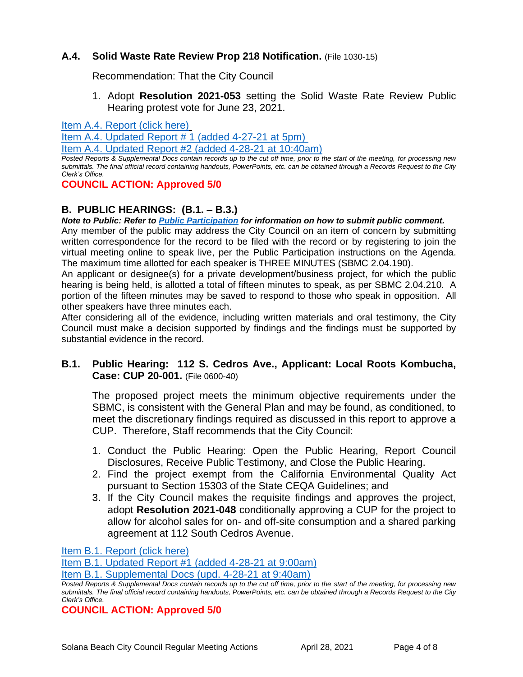## **A.4. Solid Waste Rate Review Prop 218 Notification.** (File 1030-15)

Recommendation: That the City Council

1. Adopt **Resolution 2021-053** setting the Solid Waste Rate Review Public Hearing protest vote for June 23, 2021.

[Item A.4. Report \(click here\)](https://solanabeach.govoffice3.com/vertical/Sites/%7B840804C2-F869-4904-9AE3-720581350CE7%7D/uploads/Item_A.4._Report_(click_here)_4-28-21-O.pdf)

[Item A.4. Updated Report](https://solanabeach.govoffice3.com/vertical/Sites/%7B840804C2-F869-4904-9AE3-720581350CE7%7D/uploads/Item_A.4._Staff_Report_Update_1.pdf) # 1 (added 4-27-21 at 5pm)

[Item A.4. Updated Report #2 \(added 4-28-21](https://solanabeach.govoffice3.com/vertical/Sites/%7B840804C2-F869-4904-9AE3-720581350CE7%7D/uploads/Item_A.4._Staff_Report_Update_2_-_O.pdf) at 10:40am)

*Posted Reports & Supplemental Docs contain records up to the cut off time, prior to the start of the meeting, for processing new submittals. The final official record containing handouts, PowerPoints, etc. can be obtained through a Records Request to the City Clerk's Office.*

## **COUNCIL ACTION: Approved 5/0**

## **B. PUBLIC HEARINGS: (B.1. – B.3.)**

*Note to Public: Refer to Public Participation for information on how to submit public comment.*  Any member of the public may address the City Council on an item of concern by submitting written correspondence for the record to be filed with the record or by registering to join the virtual meeting online to speak live, per the Public Participation instructions on the Agenda. The maximum time allotted for each speaker is THREE MINUTES (SBMC 2.04.190).

An applicant or designee(s) for a private development/business project, for which the public hearing is being held, is allotted a total of fifteen minutes to speak, as per SBMC 2.04.210. A portion of the fifteen minutes may be saved to respond to those who speak in opposition. All other speakers have three minutes each.

After considering all of the evidence, including written materials and oral testimony, the City Council must make a decision supported by findings and the findings must be supported by substantial evidence in the record.

## **B.1. Public Hearing: 112 S. Cedros Ave., Applicant: Local Roots Kombucha, Case: CUP 20-001.** (File 0600-40)

The proposed project meets the minimum objective requirements under the SBMC, is consistent with the General Plan and may be found, as conditioned, to meet the discretionary findings required as discussed in this report to approve a CUP. Therefore, Staff recommends that the City Council:

- 1. Conduct the Public Hearing: Open the Public Hearing, Report Council Disclosures, Receive Public Testimony, and Close the Public Hearing.
- 2. Find the project exempt from the California Environmental Quality Act pursuant to Section 15303 of the State CEQA Guidelines; and
- 3. If the City Council makes the requisite findings and approves the project, adopt **Resolution 2021-048** conditionally approving a CUP for the project to allow for alcohol sales for on- and off-site consumption and a shared parking agreement at 112 South Cedros Avenue.

[Item B.1. Report \(click here\)](https://solanabeach.govoffice3.com/vertical/Sites/%7B840804C2-F869-4904-9AE3-720581350CE7%7D/uploads/Item_B.1._Report_(click_here)_4-28-21-O.pdf)

[Item B.1. Updated Report #1 \(added 4-28-21 at 9:00am\)](https://solanabeach.govoffice3.com/vertical/Sites/%7B840804C2-F869-4904-9AE3-720581350CE7%7D/uploads/Item_B.1._Updated_Report_1_(4-28_845am)_-_O.pdf)

*Posted Reports & Supplemental Docs contain records up to the cut off time, prior to the start of the meeting, for processing new submittals. The final official record containing handouts, PowerPoints, etc. can be obtained through a Records Request to the City Clerk's Office.*

**COUNCIL ACTION: Approved 5/0**

[Item B.1. Supplemental Docs \(upd.](https://solanabeach.govoffice3.com/vertical/Sites/%7B840804C2-F869-4904-9AE3-720581350CE7%7D/uploads/Item_B.1._Supplemental_Docs_(upd._4-28_at_940am)_-_O.pdf) 4-28-21 at 9:40am)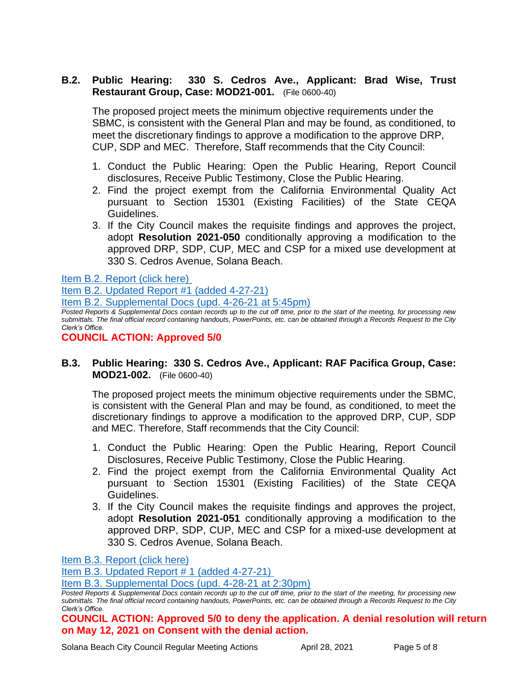## **B.2. Public Hearing: 330 S. Cedros Ave., Applicant: Brad Wise, Trust Restaurant Group, Case: MOD21-001.** (File 0600-40)

The proposed project meets the minimum objective requirements under the SBMC, is consistent with the General Plan and may be found, as conditioned, to meet the discretionary findings to approve a modification to the approve DRP, CUP, SDP and MEC. Therefore, Staff recommends that the City Council:

- 1. Conduct the Public Hearing: Open the Public Hearing, Report Council disclosures, Receive Public Testimony, Close the Public Hearing.
- 2. Find the project exempt from the California Environmental Quality Act pursuant to Section 15301 (Existing Facilities) of the State CEQA Guidelines.
- 3. If the City Council makes the requisite findings and approves the project, adopt **Resolution 2021-050** conditionally approving a modification to the approved DRP, SDP, CUP, MEC and CSP for a mixed use development at 330 S. Cedros Avenue, Solana Beach.

[Item B.2. Report \(click here\)](https://solanabeach.govoffice3.com/vertical/Sites/%7B840804C2-F869-4904-9AE3-720581350CE7%7D/uploads/Item_B.2._Report_(click_here)_4-28-21-O.pdf)

[Item B.2. Updated Report](https://solanabeach.govoffice3.com/vertical/Sites/%7B840804C2-F869-4904-9AE3-720581350CE7%7D/uploads/Item_B.2._Updated_Report_1_-_O.pdf) #1 (added 4-27-21)

[Item B.2. Supplemental Docs \(upd.](https://solanabeach.govoffice3.com/vertical/Sites/%7B840804C2-F869-4904-9AE3-720581350CE7%7D/uploads/Item_B.2._Supplemental_Docs_(upd._4-26)_-_O.pdf) 4-26-21 at 5:45pm)

*Posted Reports & Supplemental Docs contain records up to the cut off time, prior to the start of the meeting, for processing new submittals. The final official record containing handouts, PowerPoints, etc. can be obtained through a Records Request to the City Clerk's Office.*

**COUNCIL ACTION: Approved 5/0**

## **B.3. Public Hearing: 330 S. Cedros Ave., Applicant: RAF Pacifica Group, Case: MOD21-002.** (File 0600-40)

The proposed project meets the minimum objective requirements under the SBMC, is consistent with the General Plan and may be found, as conditioned, to meet the discretionary findings to approve a modification to the approved DRP, CUP, SDP and MEC. Therefore, Staff recommends that the City Council:

- 1. Conduct the Public Hearing: Open the Public Hearing, Report Council Disclosures, Receive Public Testimony, Close the Public Hearing.
- 2. Find the project exempt from the California Environmental Quality Act pursuant to Section 15301 (Existing Facilities) of the State CEQA Guidelines.
- 3. If the City Council makes the requisite findings and approves the project, adopt **Resolution 2021-051** conditionally approving a modification to the approved DRP, SDP, CUP, MEC and CSP for a mixed-use development at 330 S. Cedros Avenue, Solana Beach.

[Item B.3. Report \(click here\)](https://solanabeach.govoffice3.com/vertical/Sites/%7B840804C2-F869-4904-9AE3-720581350CE7%7D/uploads/Item_B.3._Report_(click_here)_4-28-21-O.pdf)

[Item B.3. Updated Report](https://solanabeach.govoffice3.com/vertical/Sites/%7B840804C2-F869-4904-9AE3-720581350CE7%7D/uploads/Item_B.3._Updated_Report_1.pdf) # 1 (added 4-27-21)

[Item B.3. Supplemental Docs \(upd. 4-28-21 at 2:30pm\)](https://solanabeach.govoffice3.com/vertical/Sites/%7B840804C2-F869-4904-9AE3-720581350CE7%7D/uploads/Item_B.3._Supplemental_Docs_(4-28_at_230pm)_-_O.pdf)

**COUNCIL ACTION: Approved 5/0 to deny the application. A denial resolution will return on May 12, 2021 on Consent with the denial action.** 

*Posted Reports & Supplemental Docs contain records up to the cut off time, prior to the start of the meeting, for processing new submittals. The final official record containing handouts, PowerPoints, etc. can be obtained through a Records Request to the City Clerk's Office.*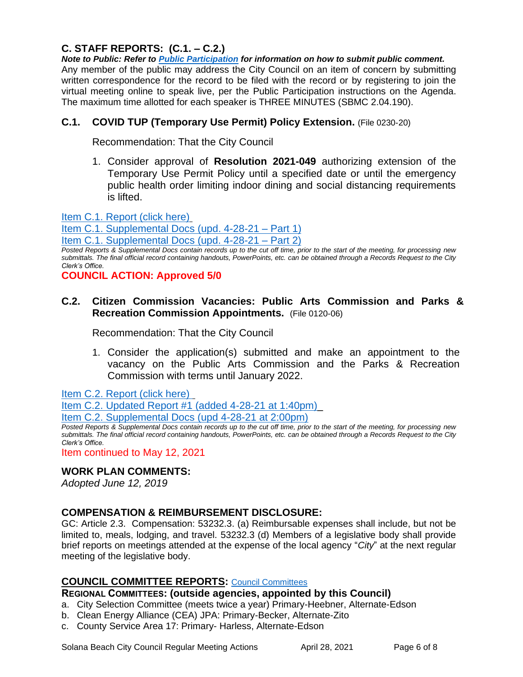## **C. STAFF REPORTS: (C.1. – C.2.)**

*Note to Public: Refer to Public Participation for information on how to submit public comment.*  Any member of the public may address the City Council on an item of concern by submitting written correspondence for the record to be filed with the record or by registering to join the virtual meeting online to speak live, per the Public Participation instructions on the Agenda. The maximum time allotted for each speaker is THREE MINUTES (SBMC 2.04.190).

## **C.1. COVID TUP (Temporary Use Permit) Policy Extension.** (File 0230-20)

Recommendation: That the City Council

1. Consider approval of **Resolution 2021-049** authorizing extension of the Temporary Use Permit Policy until a specified date or until the emergency public health order limiting indoor dining and social distancing requirements is lifted.

[Item C.1. Report \(click here\)](https://solanabeach.govoffice3.com/vertical/Sites/%7B840804C2-F869-4904-9AE3-720581350CE7%7D/uploads/Item_C.1._Report_(click_here)_4-28-21-O.pdf)

[Item C.1. Supplemental Docs \(upd. 4-28-21 –](https://solanabeach.govoffice3.com/vertical/Sites/%7B840804C2-F869-4904-9AE3-720581350CE7%7D/uploads/Item_C.1._Supplemental_Docs_(Upd._4-28-21_at_525pm)_-_O.pdf) Part 1)

[Item C.1. Supplemental Docs \(upd. 4-28-21 –](https://solanabeach.govoffice3.com/vertical/Sites/%7B840804C2-F869-4904-9AE3-720581350CE7%7D/uploads/Item_C.1._Supplemental_Docs_(Upd._4-28-21_Part_2)_-_O.pdf) Part 2)

*Posted Reports & Supplemental Docs contain records up to the cut off time, prior to the start of the meeting, for processing new submittals. The final official record containing handouts, PowerPoints, etc. can be obtained through a Records Request to the City Clerk's Office.*

**COUNCIL ACTION: Approved 5/0**

## **C.2. Citizen Commission Vacancies: Public Arts Commission and Parks & Recreation Commission Appointments.** (File 0120-06)

Recommendation: That the City Council

1. Consider the application(s) submitted and make an appointment to the vacancy on the Public Arts Commission and the Parks & Recreation Commission with terms until January 2022.

[Item C.2. Report \(click here\)](https://solanabeach.govoffice3.com/vertical/Sites/%7B840804C2-F869-4904-9AE3-720581350CE7%7D/uploads/Item_C.2._Report_(click_here)_4-28-21-O.pdf) 

Item C.2. [Updated Report #1 \(added 4-28-21 at 1:40pm\)\\_](https://solanabeach.govoffice3.com/vertical/Sites/%7B840804C2-F869-4904-9AE3-720581350CE7%7D/uploads/Item_C.2._Staff_Report_Update_1_-_O.pdf)

[Item C.2. Supplemental Docs \(upd 4-28-21](https://solanabeach.govoffice3.com/vertical/Sites/%7B840804C2-F869-4904-9AE3-720581350CE7%7D/uploads/Item_C.2._Supplemental_Docs_(4-28_at_145pm)_-_O.pdf) at 2:00pm)

*Posted Reports & Supplemental Docs contain records up to the cut off time, prior to the start of the meeting, for processing new submittals. The final official record containing handouts, PowerPoints, etc. can be obtained through a Records Request to the City Clerk's Office.*

Item continued to May 12, 2021

#### **WORK PLAN COMMENTS:**

*Adopted June 12, 2019*

#### **COMPENSATION & REIMBURSEMENT DISCLOSURE:**

GC: Article 2.3. Compensation: 53232.3. (a) Reimbursable expenses shall include, but not be limited to, meals, lodging, and travel. 53232.3 (d) Members of a legislative body shall provide brief reports on meetings attended at the expense of the local agency "*City*" at the next regular meeting of the legislative body.

#### **COUNCIL COMMITTEE REPORTS:** [Council Committees](https://www.ci.solana-beach.ca.us/index.asp?SEC=584E1192-3850-46EA-B977-088AC3E81E0D&Type=B_BASIC)

#### **REGIONAL COMMITTEES: (outside agencies, appointed by this Council)**

- a. City Selection Committee (meets twice a year) Primary-Heebner, Alternate-Edson
- b. Clean Energy Alliance (CEA) JPA: Primary-Becker, Alternate-Zito
- c. County Service Area 17: Primary- Harless, Alternate-Edson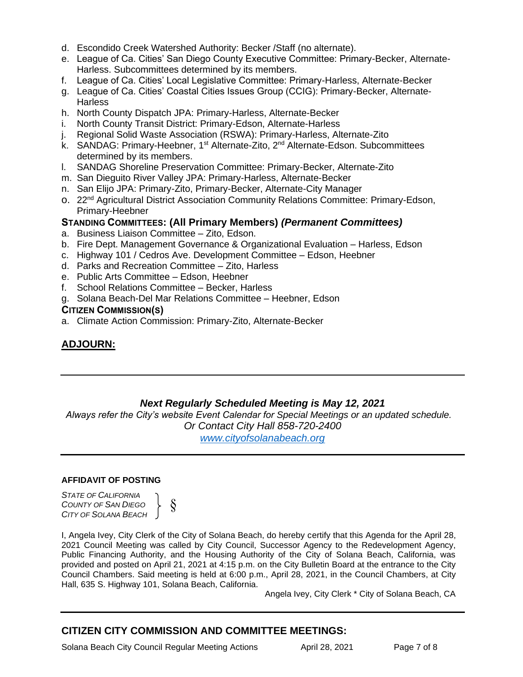- d. Escondido Creek Watershed Authority: Becker /Staff (no alternate).
- e. League of Ca. Cities' San Diego County Executive Committee: Primary-Becker, Alternate-Harless. Subcommittees determined by its members.
- f. League of Ca. Cities' Local Legislative Committee: Primary-Harless, Alternate-Becker
- g. League of Ca. Cities' Coastal Cities Issues Group (CCIG): Primary-Becker, Alternate-**Harless**
- h. North County Dispatch JPA: Primary-Harless, Alternate-Becker
- i. North County Transit District: Primary-Edson, Alternate-Harless
- j. Regional Solid Waste Association (RSWA): Primary-Harless, Alternate-Zito
- k. SANDAG: Primary-Heebner, 1<sup>st</sup> Alternate-Zito, 2<sup>nd</sup> Alternate-Edson. Subcommittees determined by its members.
- l. SANDAG Shoreline Preservation Committee: Primary-Becker, Alternate-Zito
- m. San Dieguito River Valley JPA: Primary-Harless, Alternate-Becker
- n. San Elijo JPA: Primary-Zito, Primary-Becker, Alternate-City Manager
- o. 22nd Agricultural District Association Community Relations Committee: Primary-Edson, Primary-Heebner

## **STANDING COMMITTEES: (All Primary Members)** *(Permanent Committees)*

- a. Business Liaison Committee Zito, Edson.
- b. Fire Dept. Management Governance & Organizational Evaluation Harless, Edson
- c. Highway 101 / Cedros Ave. Development Committee Edson, Heebner
- d. Parks and Recreation Committee Zito, Harless
- e. Public Arts Committee Edson, Heebner
- f. School Relations Committee Becker, Harless
- g. Solana Beach-Del Mar Relations Committee Heebner, Edson

#### **CITIZEN COMMISSION(S)**

a. Climate Action Commission: Primary-Zito, Alternate-Becker

## **ADJOURN:**

## *Next Regularly Scheduled Meeting is May 12, 2021*

*Always refer the City's website Event Calendar for Special Meetings or an updated schedule. Or Contact City Hall 858-720-2400 [www.cityofsolanabeach.org](http://www.cityofsolanabeach.org/)* 

#### **AFFIDAVIT OF POSTING**

*STATE OF CALIFORNIA COUNTY OF SAN DIEGO CITY OF SOLANA BEACH*

§  $\left\{\begin{array}{c} 8 \end{array}\right\}$ 

I, Angela Ivey, City Clerk of the City of Solana Beach, do hereby certify that this Agenda for the April 28, 2021 Council Meeting was called by City Council, Successor Agency to the Redevelopment Agency, Public Financing Authority, and the Housing Authority of the City of Solana Beach, California, was provided and posted on April 21, 2021 at 4:15 p.m. on the City Bulletin Board at the entrance to the City Council Chambers. Said meeting is held at 6:00 p.m., April 28, 2021, in the Council Chambers, at City Hall, 635 S. Highway 101, Solana Beach, California.

Angela Ivey, City Clerk \* City of Solana Beach, CA

## **CITIZEN CITY COMMISSION AND COMMITTEE MEETINGS:**

Solana Beach City Council Regular Meeting Actions **April 28, 2021** Page 7 of 8